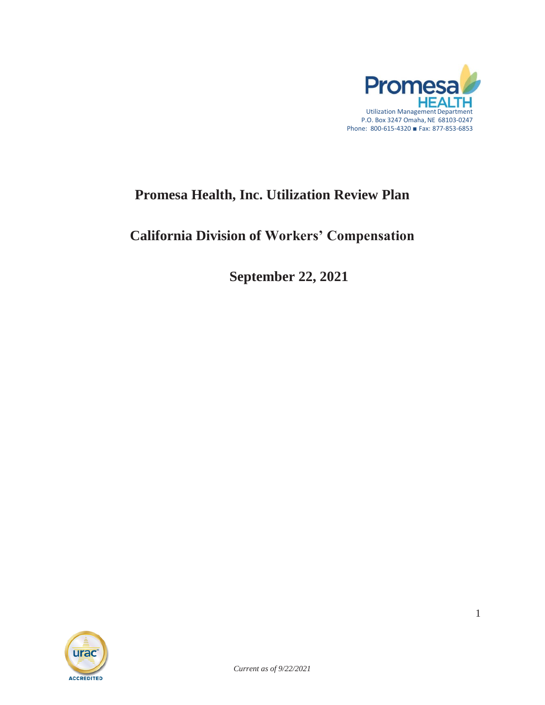

## **Promesa Health, Inc. Utilization Review Plan**

# **California Division of Workers' Compensation**

**September 22, 2021**

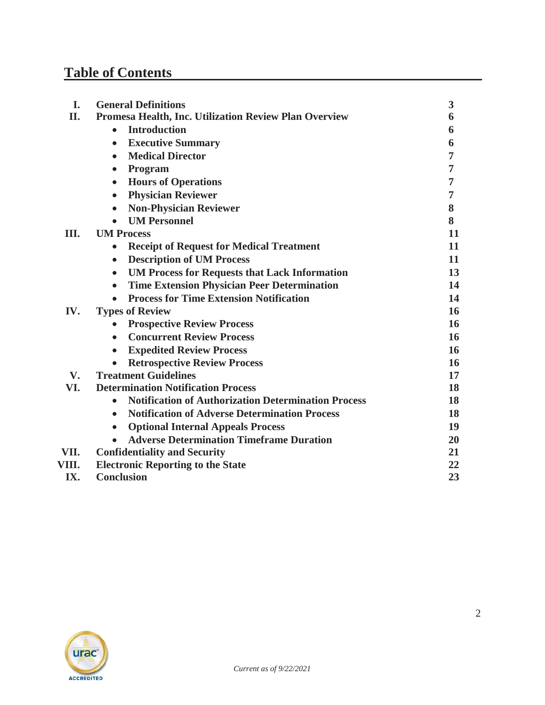# **Table of Contents**

| I.          | <b>General Definitions</b>                                              |    |
|-------------|-------------------------------------------------------------------------|----|
| II.         | Promesa Health, Inc. Utilization Review Plan Overview                   | 6  |
|             | <b>Introduction</b><br>$\bullet$                                        | 6  |
|             | <b>Executive Summary</b><br>$\bullet$                                   | 6  |
|             | <b>Medical Director</b><br>$\bullet$                                    | 7  |
|             | Program<br>$\bullet$                                                    | 7  |
|             | <b>Hours of Operations</b><br>$\bullet$                                 | 7  |
|             | <b>Physician Reviewer</b><br>$\bullet$                                  | 7  |
|             | <b>Non-Physician Reviewer</b><br>$\bullet$                              | 8  |
|             | <b>UM Personnel</b><br>$\bullet$                                        | 8  |
| Ш.          | <b>UM Process</b>                                                       | 11 |
|             | <b>Receipt of Request for Medical Treatment</b><br>$\bullet$            | 11 |
|             | <b>Description of UM Process</b><br>$\bullet$                           | 11 |
|             | <b>UM Process for Requests that Lack Information</b><br>$\bullet$       | 13 |
|             | <b>Time Extension Physician Peer Determination</b><br>$\bullet$         | 14 |
|             | <b>Process for Time Extension Notification</b><br>$\bullet$             | 14 |
| IV.         | <b>Types of Review</b>                                                  | 16 |
|             | <b>Prospective Review Process</b><br>$\bullet$                          | 16 |
|             | <b>Concurrent Review Process</b><br>$\bullet$                           | 16 |
|             | <b>Expedited Review Process</b><br>$\bullet$                            | 16 |
|             | <b>Retrospective Review Process</b><br>$\bullet$                        | 16 |
| $V_{\cdot}$ | <b>Treatment Guidelines</b>                                             | 17 |
| VI.         | <b>Determination Notification Process</b>                               | 18 |
|             | <b>Notification of Authorization Determination Process</b><br>$\bullet$ | 18 |
|             | <b>Notification of Adverse Determination Process</b><br>$\bullet$       | 18 |
|             | <b>Optional Internal Appeals Process</b><br>$\bullet$                   | 19 |
|             | <b>Adverse Determination Timeframe Duration</b>                         | 20 |
| VII.        | <b>Confidentiality and Security</b>                                     |    |
| VIII.       | <b>Electronic Reporting to the State</b><br>22                          |    |
| IX.         | 23<br><b>Conclusion</b>                                                 |    |

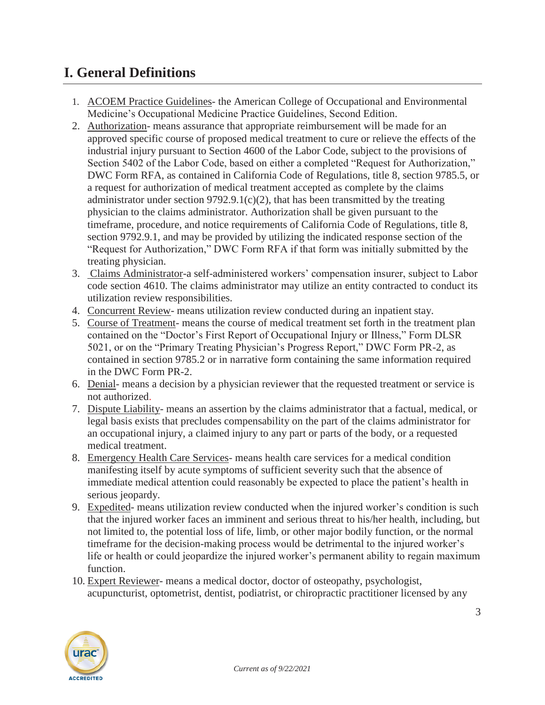## <span id="page-2-0"></span>**I. General Definitions**

- 1. ACOEM Practice Guidelines- the American College of Occupational and Environmental Medicine's Occupational Medicine Practice Guidelines, Second Edition.
- 2. Authorization- means assurance that appropriate reimbursement will be made for an approved specific course of proposed medical treatment to cure or relieve the effects of the industrial injury pursuant to Section 4600 of the Labor Code, subject to the provisions of Section 5402 of the Labor Code, based on either a completed "Request for Authorization," DWC Form RFA, as contained in California Code of Regulations, title 8, section 9785.5, or a request for authorization of medical treatment accepted as complete by the claims administrator under section  $9792.9.1(c)(2)$ , that has been transmitted by the treating physician to the claims administrator. Authorization shall be given pursuant to the timeframe, procedure, and notice requirements of California Code of Regulations, title 8, section 9792.9.1, and may be provided by utilizing the indicated response section of the "Request for Authorization," DWC Form RFA if that form was initially submitted by the treating physician.
- 3. Claims Administrator-a self-administered workers' compensation insurer, subject to Labor code section 4610. The claims administrator may utilize an entity contracted to conduct its utilization review responsibilities.
- 4. Concurrent Review- means utilization review conducted during an inpatient stay.
- 5. Course of Treatment- means the course of medical treatment set forth in the treatment plan contained on the "Doctor's First Report of Occupational Injury or Illness," Form DLSR 5021, or on the "Primary Treating Physician's Progress Report," DWC Form PR-2, as contained in section 9785.2 or in narrative form containing the same information required in the DWC Form PR-2.
- 6. Denial- means a decision by a physician reviewer that the requested treatment or service is not authorized.
- 7. Dispute Liability- means an assertion by the claims administrator that a factual, medical, or legal basis exists that precludes compensability on the part of the claims administrator for an occupational injury, a claimed injury to any part or parts of the body, or a requested medical treatment.
- 8. Emergency Health Care Services- means health care services for a medical condition manifesting itself by acute symptoms of sufficient severity such that the absence of immediate medical attention could reasonably be expected to place the patient's health in serious jeopardy.
- 9. Expedited- means utilization review conducted when the injured worker's condition is such that the injured worker faces an imminent and serious threat to his/her health, including, but not limited to, the potential loss of life, limb, or other major bodily function, or the normal timeframe for the decision-making process would be detrimental to the injured worker's life or health or could jeopardize the injured worker's permanent ability to regain maximum function.
- 10. Expert Reviewer- means a medical doctor, doctor of osteopathy, psychologist, acupuncturist, optometrist, dentist, podiatrist, or chiropractic practitioner licensed by any

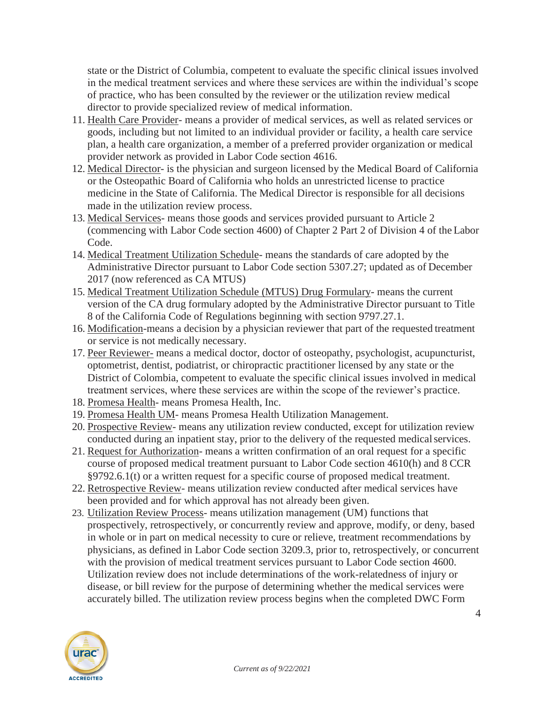state or the District of Columbia, competent to evaluate the specific clinical issues involved in the medical treatment services and where these services are within the individual's scope of practice, who has been consulted by the reviewer or the utilization review medical director to provide specialized review of medical information.

- 11. Health Care Provider- means a provider of medical services, as well as related services or goods, including but not limited to an individual provider or facility, a health care service plan, a health care organization, a member of a preferred provider organization or medical provider network as provided in Labor Code section 4616.
- 12. Medical Director- is the physician and surgeon licensed by the Medical Board of California or the Osteopathic Board of California who holds an unrestricted license to practice medicine in the State of California. The Medical Director is responsible for all decisions made in the utilization review process.
- 13. Medical Services- means those goods and services provided pursuant to Article 2 (commencing with Labor Code section 4600) of Chapter 2 Part 2 of Division 4 of the Labor Code.
- 14. Medical Treatment Utilization Schedule- means the standards of care adopted by the Administrative Director pursuant to Labor Code section 5307.27; updated as of December 2017 (now referenced as CA MTUS)
- 15. Medical Treatment Utilization Schedule (MTUS) Drug Formulary- means the current version of the CA drug formulary adopted by the Administrative Director pursuant to Title 8 of the California Code of Regulations beginning with section 9797.27.1.
- 16. Modification-means a decision by a physician reviewer that part of the requested treatment or service is not medically necessary.
- 17. Peer Reviewer- means a medical doctor, doctor of osteopathy, psychologist, acupuncturist, optometrist, dentist, podiatrist, or chiropractic practitioner licensed by any state or the District of Colombia, competent to evaluate the specific clinical issues involved in medical treatment services, where these services are within the scope of the reviewer's practice.
- 18. Promesa Health- means Promesa Health, Inc.
- 19. Promesa Health UM- means Promesa Health Utilization Management.
- 20. Prospective Review- means any utilization review conducted, except for utilization review conducted during an inpatient stay, prior to the delivery of the requested medicalservices.
- 21. Request for Authorization- means a written confirmation of an oral request for a specific course of proposed medical treatment pursuant to Labor Code section 4610(h) and 8 CCR §9792.6.1(t) or a written request for a specific course of proposed medical treatment.
- 22. Retrospective Review- means utilization review conducted after medical services have been provided and for which approval has not already been given.
- 23. Utilization Review Process- means utilization management (UM) functions that prospectively, retrospectively, or concurrently review and approve, modify, or deny, based in whole or in part on medical necessity to cure or relieve, treatment recommendations by physicians, as defined in Labor Code section 3209.3, prior to, retrospectively, or concurrent with the provision of medical treatment services pursuant to Labor Code section 4600. Utilization review does not include determinations of the work-relatedness of injury or disease, or bill review for the purpose of determining whether the medical services were accurately billed. The utilization review process begins when the completed DWC Form

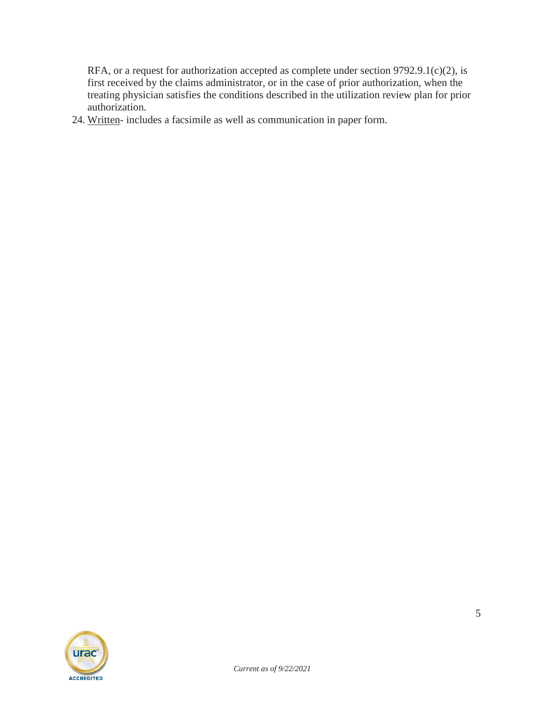RFA, or a request for authorization accepted as complete under section 9792.9.1(c)(2), is first received by the claims administrator, or in the case of prior authorization, when the treating physician satisfies the conditions described in the utilization review plan for prior authorization.

### 24. Written- includes a facsimile as well as communication in paper form.

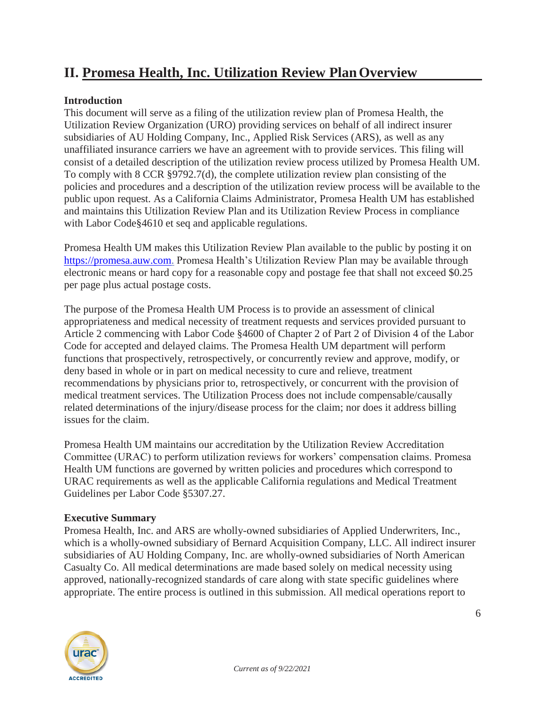## <span id="page-5-0"></span>**II. Promesa Health, Inc. Utilization Review PlanOverview**

### <span id="page-5-1"></span>**Introduction**

This document will serve as a filing of the utilization review plan of Promesa Health, the Utilization Review Organization (URO) providing services on behalf of all indirect insurer subsidiaries of AU Holding Company, Inc., Applied Risk Services (ARS), as well as any unaffiliated insurance carriers we have an agreement with to provide services. This filing will consist of a detailed description of the utilization review process utilized by Promesa Health UM. To comply with 8 CCR §9792.7(d), the complete utilization review plan consisting of the policies and procedures and a description of the utilization review process will be available to the public upon request. As a California Claims Administrator, Promesa Health UM has established and maintains this Utilization Review Plan and its Utilization Review Process in compliance with Labor Code§4610 et seq and applicable regulations.

Promesa Health UM makes this Utilization Review Plan available to the public by posting it on [https://promesa.auw.com.](https://promesa.auw.com,newtab/) Promesa Health's Utilization Review Plan may be available through electronic means or hard copy for a reasonable copy and postage fee that shall not exceed \$0.25 per page plus actual postage costs.

The purpose of the Promesa Health UM Process is to provide an assessment of clinical appropriateness and medical necessity of treatment requests and services provided pursuant to Article 2 commencing with Labor Code §4600 of Chapter 2 of Part 2 of Division 4 of the Labor Code for accepted and delayed claims. The Promesa Health UM department will perform functions that prospectively, retrospectively, or concurrently review and approve, modify, or deny based in whole or in part on medical necessity to cure and relieve, treatment recommendations by physicians prior to, retrospectively, or concurrent with the provision of medical treatment services. The Utilization Process does not include compensable/causally related determinations of the injury/disease process for the claim; nor does it address billing issues for the claim.

Promesa Health UM maintains our accreditation by the Utilization Review Accreditation Committee (URAC) to perform utilization reviews for workers' compensation claims. Promesa Health UM functions are governed by written policies and procedures which correspond to URAC requirements as well as the applicable California regulations and Medical Treatment Guidelines per Labor Code §5307.27.

#### <span id="page-5-2"></span>**Executive Summary**

Promesa Health, Inc. and ARS are wholly-owned subsidiaries of Applied Underwriters, Inc., which is a wholly-owned subsidiary of Bernard Acquisition Company, LLC. All indirect insurer subsidiaries of AU Holding Company, Inc. are wholly-owned subsidiaries of North American Casualty Co. All medical determinations are made based solely on medical necessity using approved, nationally-recognized standards of care along with state specific guidelines where appropriate. The entire process is outlined in this submission. All medical operations report to

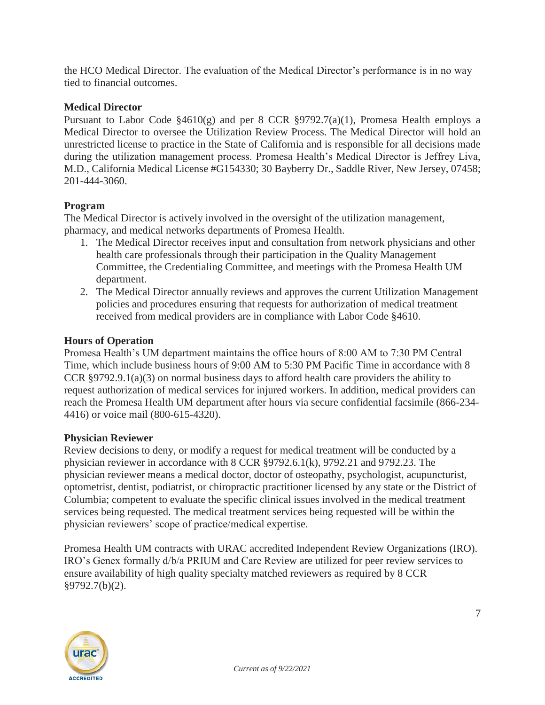the HCO Medical Director. The evaluation of the Medical Director's performance is in no way tied to financial outcomes.

#### <span id="page-6-0"></span>**Medical Director**

Pursuant to Labor Code §4610(g) and per 8 CCR §9792.7(a)(1), Promesa Health employs a Medical Director to oversee the Utilization Review Process. The Medical Director will hold an unrestricted license to practice in the State of California and is responsible for all decisions made during the utilization management process. Promesa Health's Medical Director is Jeffrey Liva, M.D., California Medical License #G154330; 30 Bayberry Dr., Saddle River, New Jersey, 07458; 201-444-3060.

#### <span id="page-6-1"></span>**Program**

The Medical Director is actively involved in the oversight of the utilization management, pharmacy, and medical networks departments of Promesa Health.

- 1. The Medical Director receives input and consultation from network physicians and other health care professionals through their participation in the Quality Management Committee, the Credentialing Committee, and meetings with the Promesa Health UM department.
- 2. The Medical Director annually reviews and approves the current Utilization Management policies and procedures ensuring that requests for authorization of medical treatment received from medical providers are in compliance with Labor Code §4610.

#### **Hours of Operation**

Promesa Health's UM department maintains the office hours of 8:00 AM to 7:30 PM Central Time, which include business hours of 9:00 AM to 5:30 PM Pacific Time in accordance with 8 CCR §9792.9.1(a)(3) on normal business days to afford health care providers the ability to request authorization of medical services for injured workers. In addition, medical providers can reach the Promesa Health UM department after hours via secure confidential facsimile (866-234- 4416) or voice mail (800-615-4320).

#### <span id="page-6-2"></span>**Physician Reviewer**

Review decisions to deny, or modify a request for medical treatment will be conducted by a physician reviewer in accordance with 8 CCR §9792.6.1(k), 9792.21 and 9792.23. The physician reviewer means a medical doctor, doctor of osteopathy, psychologist, acupuncturist, optometrist, dentist, podiatrist, or chiropractic practitioner licensed by any state or the District of Columbia; competent to evaluate the specific clinical issues involved in the medical treatment services being requested. The medical treatment services being requested will be within the physician reviewers' scope of practice/medical expertise.

Promesa Health UM contracts with URAC accredited Independent Review Organizations (IRO). IRO's Genex formally d/b/a PRIUM and Care Review are utilized for peer review services to ensure availability of high quality specialty matched reviewers as required by 8 CCR §9792.7(b)(2).

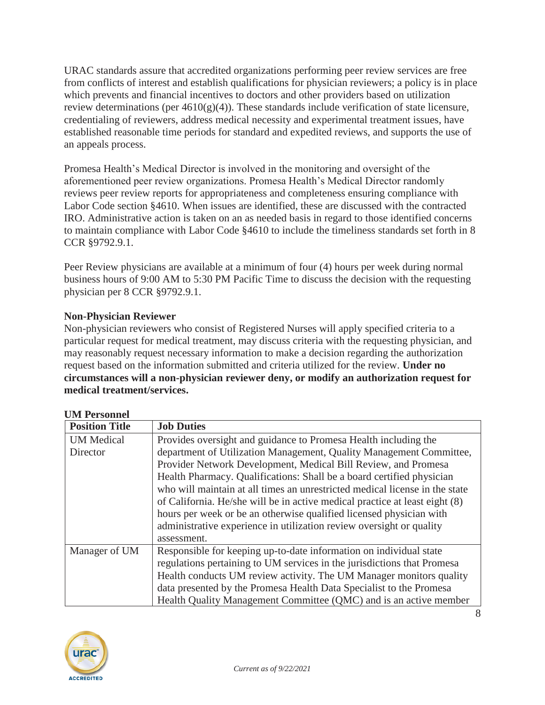URAC standards assure that accredited organizations performing peer review services are free from conflicts of interest and establish qualifications for physician reviewers; a policy is in place which prevents and financial incentives to doctors and other providers based on utilization review determinations (per  $4610(g)(4)$ ). These standards include verification of state licensure, credentialing of reviewers, address medical necessity and experimental treatment issues, have established reasonable time periods for standard and expedited reviews, and supports the use of an appeals process.

Promesa Health's Medical Director is involved in the monitoring and oversight of the aforementioned peer review organizations. Promesa Health's Medical Director randomly reviews peer review reports for appropriateness and completeness ensuring compliance with Labor Code section §4610. When issues are identified, these are discussed with the contracted IRO. Administrative action is taken on an as needed basis in regard to those identified concerns to maintain compliance with Labor Code §4610 to include the timeliness standards set forth in 8 CCR §9792.9.1.

Peer Review physicians are available at a minimum of four (4) hours per week during normal business hours of 9:00 AM to 5:30 PM Pacific Time to discuss the decision with the requesting physician per 8 CCR §9792.9.1.

### <span id="page-7-0"></span>**Non-Physician Reviewer**

Non-physician reviewers who consist of Registered Nurses will apply specified criteria to a particular request for medical treatment, may discuss criteria with the requesting physician, and may reasonably request necessary information to make a decision regarding the authorization request based on the information submitted and criteria utilized for the review. **Under no circumstances will a non-physician reviewer deny, or modify an authorization request for medical treatment/services.**

| UM Personnei          |                                                                             |  |  |  |
|-----------------------|-----------------------------------------------------------------------------|--|--|--|
| <b>Position Title</b> | <b>Job Duties</b>                                                           |  |  |  |
| <b>UM</b> Medical     | Provides oversight and guidance to Promesa Health including the             |  |  |  |
| Director              | department of Utilization Management, Quality Management Committee,         |  |  |  |
|                       | Provider Network Development, Medical Bill Review, and Promesa              |  |  |  |
|                       | Health Pharmacy. Qualifications: Shall be a board certified physician       |  |  |  |
|                       | who will maintain at all times an unrestricted medical license in the state |  |  |  |
|                       | of California. He/she will be in active medical practice at least eight (8) |  |  |  |
|                       | hours per week or be an otherwise qualified licensed physician with         |  |  |  |
|                       | administrative experience in utilization review oversight or quality        |  |  |  |
|                       | assessment.                                                                 |  |  |  |
| Manager of UM         | Responsible for keeping up-to-date information on individual state          |  |  |  |
|                       | regulations pertaining to UM services in the jurisdictions that Promesa     |  |  |  |
|                       | Health conducts UM review activity. The UM Manager monitors quality         |  |  |  |
|                       | data presented by the Promesa Health Data Specialist to the Promesa         |  |  |  |
|                       | Health Quality Management Committee (QMC) and is an active member           |  |  |  |

### <span id="page-7-1"></span>**UM Personnel**

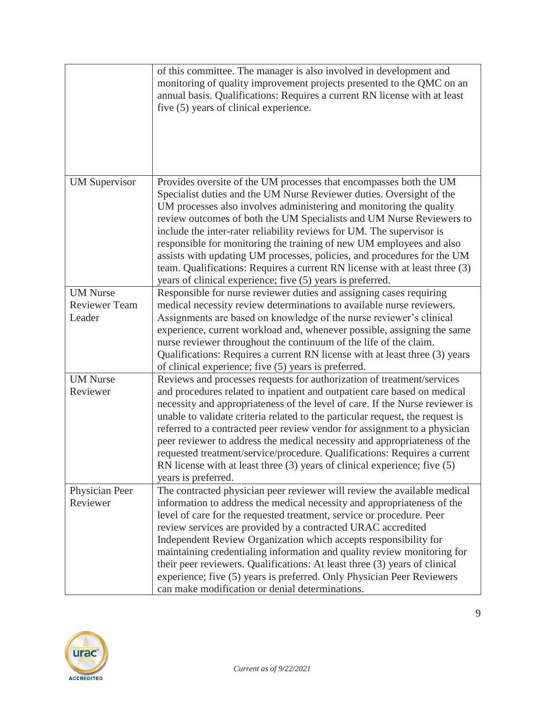| of this committee. The manager is also involved in development and<br>monitoring of quality improvement projects presented to the QMC on an<br>annual basis. Qualifications: Requires a current RN license with at least<br>five (5) years of clinical experience.                                                                                                                                                                                                                                                                                                                                                                                                                         |  |
|--------------------------------------------------------------------------------------------------------------------------------------------------------------------------------------------------------------------------------------------------------------------------------------------------------------------------------------------------------------------------------------------------------------------------------------------------------------------------------------------------------------------------------------------------------------------------------------------------------------------------------------------------------------------------------------------|--|
| Provides oversite of the UM processes that encompasses both the UM<br><b>UM</b> Supervisor<br>Specialist duties and the UM Nurse Reviewer duties. Oversight of the<br>UM processes also involves administering and monitoring the quality<br>review outcomes of both the UM Specialists and UM Nurse Reviewers to<br>include the inter-rater reliability reviews for UM. The supervisor is<br>responsible for monitoring the training of new UM employees and also<br>assists with updating UM processes, policies, and procedures for the UM<br>team. Qualifications: Requires a current RN license with at least three (3)<br>years of clinical experience; five (5) years is preferred. |  |
| <b>UM Nurse</b><br>Responsible for nurse reviewer duties and assigning cases requiring                                                                                                                                                                                                                                                                                                                                                                                                                                                                                                                                                                                                     |  |
| <b>Reviewer Team</b><br>medical necessity review determinations to available nurse reviewers.                                                                                                                                                                                                                                                                                                                                                                                                                                                                                                                                                                                              |  |
| Assignments are based on knowledge of the nurse reviewer's clinical<br>Leader<br>experience, current workload and, whenever possible, assigning the same<br>nurse reviewer throughout the continuum of the life of the claim.<br>Qualifications: Requires a current RN license with at least three (3) years<br>of clinical experience; five (5) years is preferred.                                                                                                                                                                                                                                                                                                                       |  |
| <b>UM Nurse</b><br>Reviews and processes requests for authorization of treatment/services                                                                                                                                                                                                                                                                                                                                                                                                                                                                                                                                                                                                  |  |
| and procedures related to inpatient and outpatient care based on medical<br>Reviewer                                                                                                                                                                                                                                                                                                                                                                                                                                                                                                                                                                                                       |  |
| necessity and appropriateness of the level of care. If the Nurse reviewer is                                                                                                                                                                                                                                                                                                                                                                                                                                                                                                                                                                                                               |  |
| unable to validate criteria related to the particular request, the request is<br>referred to a contracted peer review vendor for assignment to a physician                                                                                                                                                                                                                                                                                                                                                                                                                                                                                                                                 |  |
| peer reviewer to address the medical necessity and appropriateness of the                                                                                                                                                                                                                                                                                                                                                                                                                                                                                                                                                                                                                  |  |
| requested treatment/service/procedure. Qualifications: Requires a current                                                                                                                                                                                                                                                                                                                                                                                                                                                                                                                                                                                                                  |  |
| RN license with at least three $(3)$ years of clinical experience; five $(5)$                                                                                                                                                                                                                                                                                                                                                                                                                                                                                                                                                                                                              |  |
| years is preferred.<br>The contracted physician peer reviewer will review the available medical<br>Physician Peer                                                                                                                                                                                                                                                                                                                                                                                                                                                                                                                                                                          |  |
|                                                                                                                                                                                                                                                                                                                                                                                                                                                                                                                                                                                                                                                                                            |  |
|                                                                                                                                                                                                                                                                                                                                                                                                                                                                                                                                                                                                                                                                                            |  |
| Reviewer<br>information to address the medical necessity and appropriateness of the<br>level of care for the requested treatment, service or procedure. Peer                                                                                                                                                                                                                                                                                                                                                                                                                                                                                                                               |  |
| review services are provided by a contracted URAC accredited                                                                                                                                                                                                                                                                                                                                                                                                                                                                                                                                                                                                                               |  |
| Independent Review Organization which accepts responsibility for                                                                                                                                                                                                                                                                                                                                                                                                                                                                                                                                                                                                                           |  |
| maintaining credentialing information and quality review monitoring for                                                                                                                                                                                                                                                                                                                                                                                                                                                                                                                                                                                                                    |  |
| their peer reviewers. Qualifications: At least three (3) years of clinical<br>experience; five (5) years is preferred. Only Physician Peer Reviewers                                                                                                                                                                                                                                                                                                                                                                                                                                                                                                                                       |  |

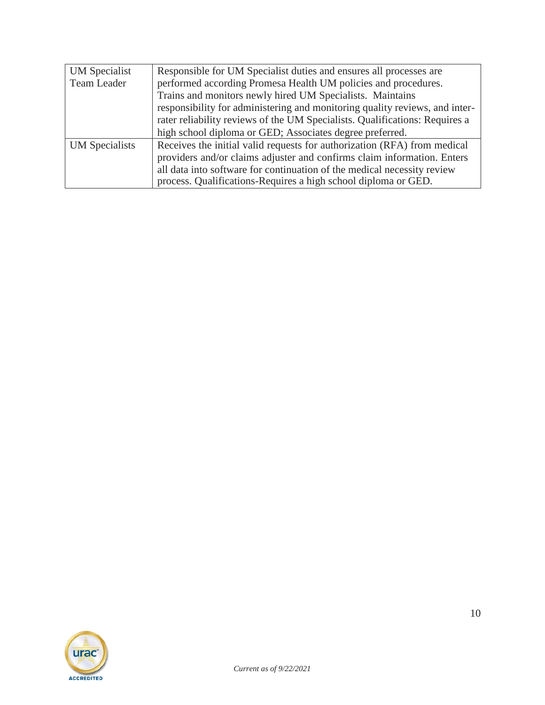| <b>UM</b> Specialist  | Responsible for UM Specialist duties and ensures all processes are          |
|-----------------------|-----------------------------------------------------------------------------|
| Team Leader           | performed according Promesa Health UM policies and procedures.              |
|                       | Trains and monitors newly hired UM Specialists. Maintains                   |
|                       | responsibility for administering and monitoring quality reviews, and inter- |
|                       | rater reliability reviews of the UM Specialists. Qualifications: Requires a |
|                       | high school diploma or GED; Associates degree preferred.                    |
| <b>UM</b> Specialists | Receives the initial valid requests for authorization (RFA) from medical    |
|                       | providers and/or claims adjuster and confirms claim information. Enters     |
|                       | all data into software for continuation of the medical necessity review     |
|                       | process. Qualifications-Requires a high school diploma or GED.              |

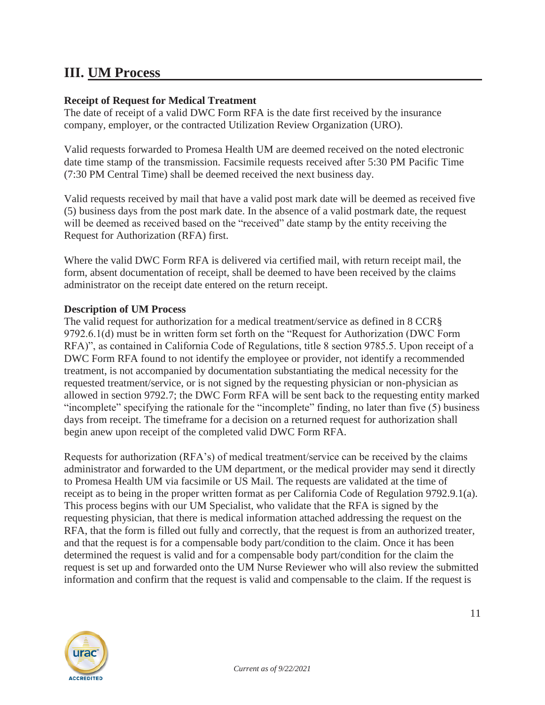## <span id="page-10-0"></span>**III. UM Process**

#### <span id="page-10-1"></span>**Receipt of Request for Medical Treatment**

The date of receipt of a valid DWC Form RFA is the date first received by the insurance company, employer, or the contracted Utilization Review Organization (URO).

Valid requests forwarded to Promesa Health UM are deemed received on the noted electronic date time stamp of the transmission. Facsimile requests received after 5:30 PM Pacific Time (7:30 PM Central Time) shall be deemed received the next business day.

Valid requests received by mail that have a valid post mark date will be deemed as received five (5) business days from the post mark date. In the absence of a valid postmark date, the request will be deemed as received based on the "received" date stamp by the entity receiving the Request for Authorization (RFA) first.

Where the valid DWC Form RFA is delivered via certified mail, with return receipt mail, the form, absent documentation of receipt, shall be deemed to have been received by the claims administrator on the receipt date entered on the return receipt.

#### <span id="page-10-2"></span>**Description of UM Process**

The valid request for authorization for a medical treatment/service as defined in 8 CCR§ 9792.6.1(d) must be in written form set forth on the "Request for Authorization (DWC Form RFA)", as contained in California Code of Regulations, title 8 section 9785.5. Upon receipt of a DWC Form RFA found to not identify the employee or provider, not identify a recommended treatment, is not accompanied by documentation substantiating the medical necessity for the requested treatment/service, or is not signed by the requesting physician or non-physician as allowed in section 9792.7; the DWC Form RFA will be sent back to the requesting entity marked "incomplete" specifying the rationale for the "incomplete" finding, no later than five (5) business days from receipt. The timeframe for a decision on a returned request for authorization shall begin anew upon receipt of the completed valid DWC Form RFA.

Requests for authorization (RFA's) of medical treatment/service can be received by the claims administrator and forwarded to the UM department, or the medical provider may send it directly to Promesa Health UM via facsimile or US Mail. The requests are validated at the time of receipt as to being in the proper written format as per California Code of Regulation 9792.9.1(a). This process begins with our UM Specialist, who validate that the RFA is signed by the requesting physician, that there is medical information attached addressing the request on the RFA, that the form is filled out fully and correctly, that the request is from an authorized treater, and that the request is for a compensable body part/condition to the claim. Once it has been determined the request is valid and for a compensable body part/condition for the claim the request is set up and forwarded onto the UM Nurse Reviewer who will also review the submitted information and confirm that the request is valid and compensable to the claim. If the request is

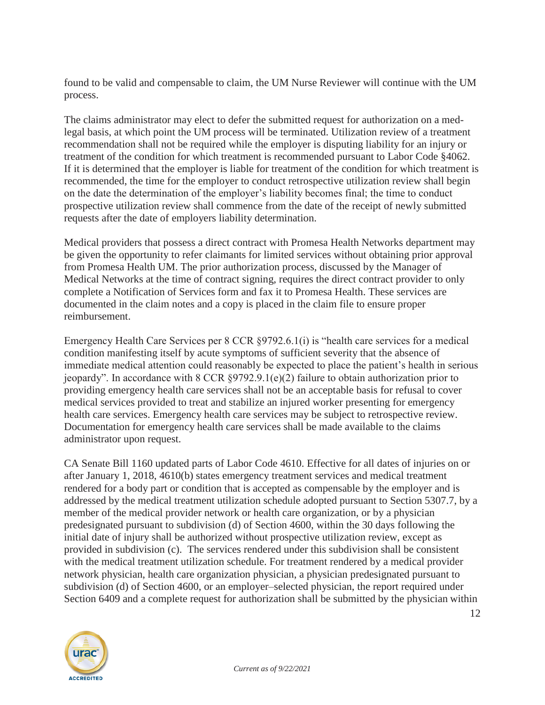found to be valid and compensable to claim, the UM Nurse Reviewer will continue with the UM process.

The claims administrator may elect to defer the submitted request for authorization on a medlegal basis, at which point the UM process will be terminated. Utilization review of a treatment recommendation shall not be required while the employer is disputing liability for an injury or treatment of the condition for which treatment is recommended pursuant to Labor Code §4062. If it is determined that the employer is liable for treatment of the condition for which treatment is recommended, the time for the employer to conduct retrospective utilization review shall begin on the date the determination of the employer's liability becomes final; the time to conduct prospective utilization review shall commence from the date of the receipt of newly submitted requests after the date of employers liability determination.

Medical providers that possess a direct contract with Promesa Health Networks department may be given the opportunity to refer claimants for limited services without obtaining prior approval from Promesa Health UM. The prior authorization process, discussed by the Manager of Medical Networks at the time of contract signing, requires the direct contract provider to only complete a Notification of Services form and fax it to Promesa Health. These services are documented in the claim notes and a copy is placed in the claim file to ensure proper reimbursement.

Emergency Health Care Services per 8 CCR §9792.6.1(i) is "health care services for a medical condition manifesting itself by acute symptoms of sufficient severity that the absence of immediate medical attention could reasonably be expected to place the patient's health in serious jeopardy". In accordance with 8 CCR §9792.9.1(e)(2) failure to obtain authorization prior to providing emergency health care services shall not be an acceptable basis for refusal to cover medical services provided to treat and stabilize an injured worker presenting for emergency health care services. Emergency health care services may be subject to retrospective review. Documentation for emergency health care services shall be made available to the claims administrator upon request.

CA Senate Bill 1160 updated parts of Labor Code 4610. Effective for all dates of injuries on or after January 1, 2018, 4610(b) states emergency treatment services and medical treatment rendered for a body part or condition that is accepted as compensable by the employer and is addressed by the medical treatment utilization schedule adopted pursuant to Section 5307.7, by a member of the medical provider network or health care organization, or by a physician predesignated pursuant to subdivision (d) of Section 4600, within the 30 days following the initial date of injury shall be authorized without prospective utilization review, except as provided in subdivision (c). The services rendered under this subdivision shall be consistent with the medical treatment utilization schedule. For treatment rendered by a medical provider network physician, health care organization physician, a physician predesignated pursuant to subdivision (d) of Section 4600, or an employer–selected physician, the report required under Section 6409 and a complete request for authorization shall be submitted by the physician within

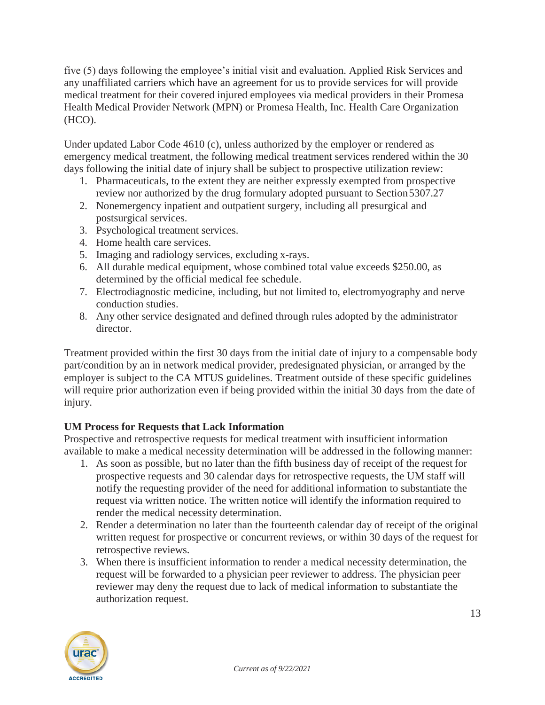five (5) days following the employee's initial visit and evaluation. Applied Risk Services and any unaffiliated carriers which have an agreement for us to provide services for will provide medical treatment for their covered injured employees via medical providers in their Promesa Health Medical Provider Network (MPN) or Promesa Health, Inc. Health Care Organization (HCO).

Under updated Labor Code 4610 (c), unless authorized by the employer or rendered as emergency medical treatment, the following medical treatment services rendered within the 30 days following the initial date of injury shall be subject to prospective utilization review:

- 1. Pharmaceuticals, to the extent they are neither expressly exempted from prospective review nor authorized by the drug formulary adopted pursuant to Section5307.27
- 2. Nonemergency inpatient and outpatient surgery, including all presurgical and postsurgical services.
- 3. Psychological treatment services.
- 4. Home health care services.
- 5. Imaging and radiology services, excluding x-rays.
- 6. All durable medical equipment, whose combined total value exceeds \$250.00, as determined by the official medical fee schedule.
- 7. Electrodiagnostic medicine, including, but not limited to, electromyography and nerve conduction studies.
- 8. Any other service designated and defined through rules adopted by the administrator director.

Treatment provided within the first 30 days from the initial date of injury to a compensable body part/condition by an in network medical provider, predesignated physician, or arranged by the employer is subject to the CA MTUS guidelines. Treatment outside of these specific guidelines will require prior authorization even if being provided within the initial 30 days from the date of injury.

### <span id="page-12-0"></span>**UM Process for Requests that Lack Information**

Prospective and retrospective requests for medical treatment with insufficient information available to make a medical necessity determination will be addressed in the following manner:

- 1. As soon as possible, but no later than the fifth business day of receipt of the request for prospective requests and 30 calendar days for retrospective requests, the UM staff will notify the requesting provider of the need for additional information to substantiate the request via written notice. The written notice will identify the information required to render the medical necessity determination.
- 2. Render a determination no later than the fourteenth calendar day of receipt of the original written request for prospective or concurrent reviews, or within 30 days of the request for retrospective reviews.
- 3. When there is insufficient information to render a medical necessity determination, the request will be forwarded to a physician peer reviewer to address. The physician peer reviewer may deny the request due to lack of medical information to substantiate the authorization request.

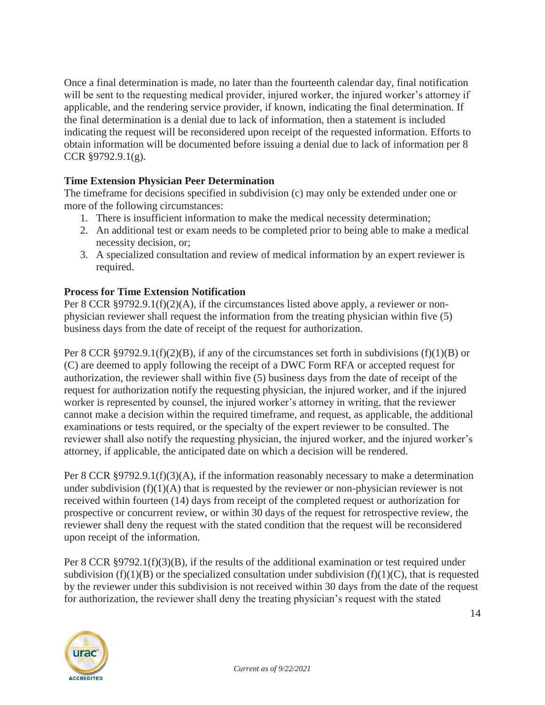Once a final determination is made, no later than the fourteenth calendar day, final notification will be sent to the requesting medical provider, injured worker, the injured worker's attorney if applicable, and the rendering service provider, if known, indicating the final determination. If the final determination is a denial due to lack of information, then a statement is included indicating the request will be reconsidered upon receipt of the requested information. Efforts to obtain information will be documented before issuing a denial due to lack of information per 8 CCR §9792.9.1(g).

#### <span id="page-13-0"></span>**Time Extension Physician Peer Determination**

The timeframe for decisions specified in subdivision (c) may only be extended under one or more of the following circumstances:

- 1. There is insufficient information to make the medical necessity determination;
- 2. An additional test or exam needs to be completed prior to being able to make a medical necessity decision, or;
- 3. A specialized consultation and review of medical information by an expert reviewer is required.

#### <span id="page-13-1"></span>**Process for Time Extension Notification**

Per 8 CCR §9792.9.1(f)(2)(A), if the circumstances listed above apply, a reviewer or nonphysician reviewer shall request the information from the treating physician within five (5) business days from the date of receipt of the request for authorization.

Per 8 CCR §9792.9.1(f)(2)(B), if any of the circumstances set forth in subdivisions (f)(1)(B) or (C) are deemed to apply following the receipt of a DWC Form RFA or accepted request for authorization, the reviewer shall within five (5) business days from the date of receipt of the request for authorization notify the requesting physician, the injured worker, and if the injured worker is represented by counsel, the injured worker's attorney in writing, that the reviewer cannot make a decision within the required timeframe, and request, as applicable, the additional examinations or tests required, or the specialty of the expert reviewer to be consulted. The reviewer shall also notify the requesting physician, the injured worker, and the injured worker's attorney, if applicable, the anticipated date on which a decision will be rendered.

Per 8 CCR §9792.9.1(f)(3)(A), if the information reasonably necessary to make a determination under subdivision  $(f)(1)(A)$  that is requested by the reviewer or non-physician reviewer is not received within fourteen (14) days from receipt of the completed request or authorization for prospective or concurrent review, or within 30 days of the request for retrospective review, the reviewer shall deny the request with the stated condition that the request will be reconsidered upon receipt of the information.

Per 8 CCR §9792.1(f)(3)(B), if the results of the additional examination or test required under subdivision (f)(1)(B) or the specialized consultation under subdivision (f)(1)(C), that is requested by the reviewer under this subdivision is not received within 30 days from the date of the request for authorization, the reviewer shall deny the treating physician's request with the stated

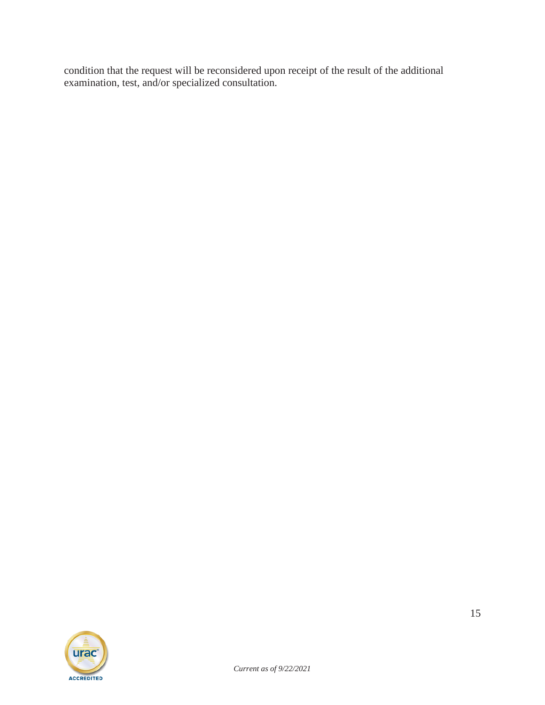condition that the request will be reconsidered upon receipt of the result of the additional examination, test, and/or specialized consultation.

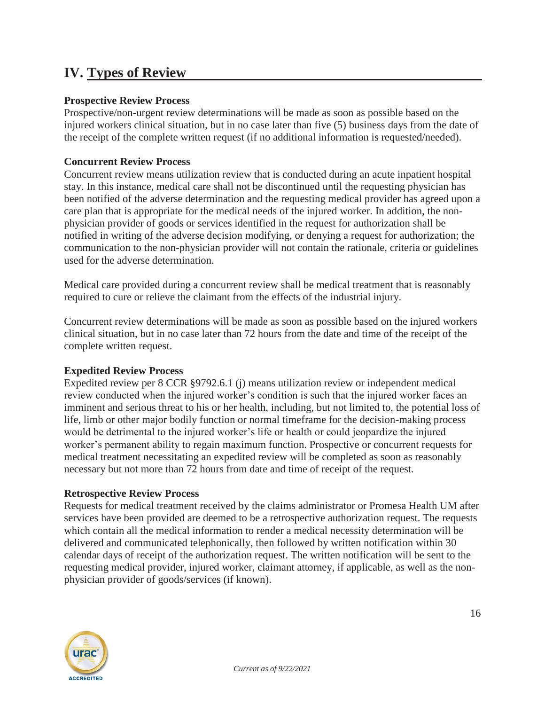## <span id="page-15-0"></span>**IV. Types of Review**

#### <span id="page-15-1"></span>**Prospective Review Process**

Prospective/non-urgent review determinations will be made as soon as possible based on the injured workers clinical situation, but in no case later than five (5) business days from the date of the receipt of the complete written request (if no additional information is requested/needed).

#### <span id="page-15-2"></span>**Concurrent Review Process**

Concurrent review means utilization review that is conducted during an acute inpatient hospital stay. In this instance, medical care shall not be discontinued until the requesting physician has been notified of the adverse determination and the requesting medical provider has agreed upon a care plan that is appropriate for the medical needs of the injured worker. In addition, the nonphysician provider of goods or services identified in the request for authorization shall be notified in writing of the adverse decision modifying, or denying a request for authorization; the communication to the non-physician provider will not contain the rationale, criteria or guidelines used for the adverse determination.

Medical care provided during a concurrent review shall be medical treatment that is reasonably required to cure or relieve the claimant from the effects of the industrial injury.

Concurrent review determinations will be made as soon as possible based on the injured workers clinical situation, but in no case later than 72 hours from the date and time of the receipt of the complete written request.

#### <span id="page-15-3"></span>**Expedited Review Process**

Expedited review per 8 CCR §9792.6.1 (j) means utilization review or independent medical review conducted when the injured worker's condition is such that the injured worker faces an imminent and serious threat to his or her health, including, but not limited to, the potential loss of life, limb or other major bodily function or normal timeframe for the decision-making process would be detrimental to the injured worker's life or health or could jeopardize the injured worker's permanent ability to regain maximum function. Prospective or concurrent requests for medical treatment necessitating an expedited review will be completed as soon as reasonably necessary but not more than 72 hours from date and time of receipt of the request.

#### <span id="page-15-4"></span>**Retrospective Review Process**

Requests for medical treatment received by the claims administrator or Promesa Health UM after services have been provided are deemed to be a retrospective authorization request. The requests which contain all the medical information to render a medical necessity determination will be delivered and communicated telephonically, then followed by written notification within 30 calendar days of receipt of the authorization request. The written notification will be sent to the requesting medical provider, injured worker, claimant attorney, if applicable, as well as the nonphysician provider of goods/services (if known).

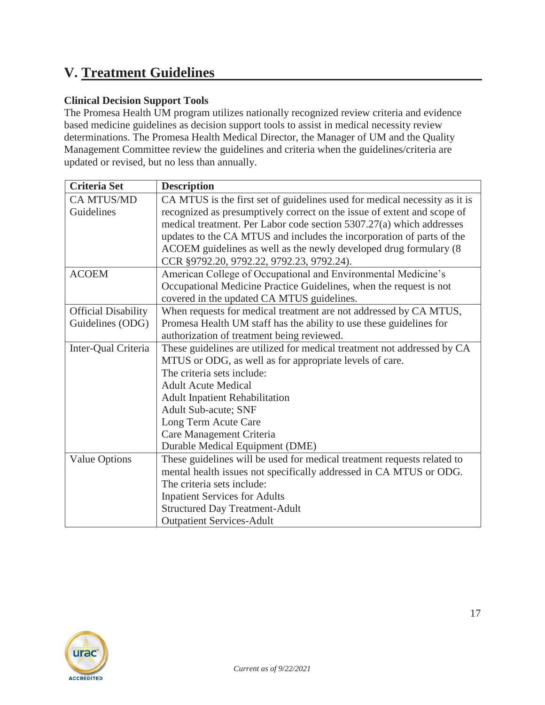# <span id="page-16-0"></span>**V. Treatment Guidelines**

## **Clinical Decision Support Tools**

The Promesa Health UM program utilizes nationally recognized review criteria and evidence based medicine guidelines as decision support tools to assist in medical necessity review determinations. The Promesa Health Medical Director, the Manager of UM and the Quality Management Committee review the guidelines and criteria when the guidelines/criteria are updated or revised, but no less than annually.

| <b>Criteria Set</b>        | <b>Description</b>                                                         |
|----------------------------|----------------------------------------------------------------------------|
| <b>CA MTUS/MD</b>          | CA MTUS is the first set of guidelines used for medical necessity as it is |
| Guidelines                 | recognized as presumptively correct on the issue of extent and scope of    |
|                            | medical treatment. Per Labor code section 5307.27(a) which addresses       |
|                            | updates to the CA MTUS and includes the incorporation of parts of the      |
|                            | ACOEM guidelines as well as the newly developed drug formulary (8          |
|                            | CCR §9792.20, 9792.22, 9792.23, 9792.24).                                  |
| <b>ACOEM</b>               | American College of Occupational and Environmental Medicine's              |
|                            | Occupational Medicine Practice Guidelines, when the request is not         |
|                            | covered in the updated CA MTUS guidelines.                                 |
| <b>Official Disability</b> | When requests for medical treatment are not addressed by CA MTUS,          |
| Guidelines (ODG)           | Promesa Health UM staff has the ability to use these guidelines for        |
|                            | authorization of treatment being reviewed.                                 |
| Inter-Qual Criteria        | These guidelines are utilized for medical treatment not addressed by CA    |
|                            | MTUS or ODG, as well as for appropriate levels of care.                    |
|                            | The criteria sets include:                                                 |
|                            | <b>Adult Acute Medical</b>                                                 |
|                            | <b>Adult Inpatient Rehabilitation</b>                                      |
|                            | <b>Adult Sub-acute; SNF</b>                                                |
|                            | Long Term Acute Care                                                       |
|                            | Care Management Criteria                                                   |
|                            | Durable Medical Equipment (DME)                                            |
| <b>Value Options</b>       | These guidelines will be used for medical treatment requests related to    |
|                            | mental health issues not specifically addressed in CA MTUS or ODG.         |
|                            | The criteria sets include:                                                 |
|                            | <b>Inpatient Services for Adults</b>                                       |
|                            | <b>Structured Day Treatment-Adult</b>                                      |
|                            | <b>Outpatient Services-Adult</b>                                           |

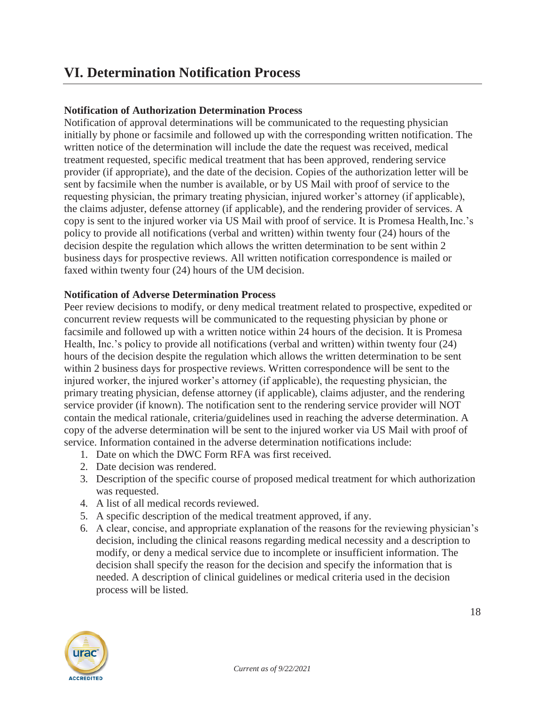### <span id="page-17-1"></span><span id="page-17-0"></span>**Notification of Authorization Determination Process**

Notification of approval determinations will be communicated to the requesting physician initially by phone or facsimile and followed up with the corresponding written notification. The written notice of the determination will include the date the request was received, medical treatment requested, specific medical treatment that has been approved, rendering service provider (if appropriate), and the date of the decision. Copies of the authorization letter will be sent by facsimile when the number is available, or by US Mail with proof of service to the requesting physician, the primary treating physician, injured worker's attorney (if applicable), the claims adjuster, defense attorney (if applicable), and the rendering provider of services. A copy is sent to the injured worker via US Mail with proof of service. It is Promesa Health, Inc.'s policy to provide all notifications (verbal and written) within twenty four (24) hours of the decision despite the regulation which allows the written determination to be sent within 2 business days for prospective reviews. All written notification correspondence is mailed or faxed within twenty four (24) hours of the UM decision.

#### <span id="page-17-2"></span>**Notification of Adverse Determination Process**

Peer review decisions to modify, or deny medical treatment related to prospective, expedited or concurrent review requests will be communicated to the requesting physician by phone or facsimile and followed up with a written notice within 24 hours of the decision. It is Promesa Health, Inc.'s policy to provide all notifications (verbal and written) within twenty four (24) hours of the decision despite the regulation which allows the written determination to be sent within 2 business days for prospective reviews. Written correspondence will be sent to the injured worker, the injured worker's attorney (if applicable), the requesting physician, the primary treating physician, defense attorney (if applicable), claims adjuster, and the rendering service provider (if known). The notification sent to the rendering service provider will NOT contain the medical rationale, criteria/guidelines used in reaching the adverse determination. A copy of the adverse determination will be sent to the injured worker via US Mail with proof of service. Information contained in the adverse determination notifications include:

- 1. Date on which the DWC Form RFA was first received.
- 2. Date decision was rendered.
- 3. Description of the specific course of proposed medical treatment for which authorization was requested.
- 4. A list of all medical records reviewed.
- 5. A specific description of the medical treatment approved, if any.
- 6. A clear, concise, and appropriate explanation of the reasons for the reviewing physician's decision, including the clinical reasons regarding medical necessity and a description to modify, or deny a medical service due to incomplete or insufficient information. The decision shall specify the reason for the decision and specify the information that is needed. A description of clinical guidelines or medical criteria used in the decision process will be listed.

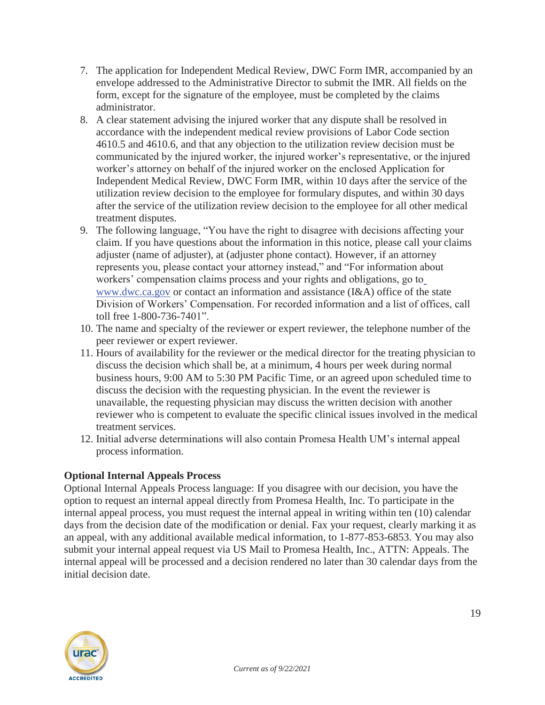- 7. The application for Independent Medical Review, DWC Form IMR, accompanied by an envelope addressed to the Administrative Director to submit the IMR. All fields on the form, except for the signature of the employee, must be completed by the claims administrator.
- 8. A clear statement advising the injured worker that any dispute shall be resolved in accordance with the independent medical review provisions of Labor Code section 4610.5 and 4610.6, and that any objection to the utilization review decision must be communicated by the injured worker, the injured worker's representative, or the injured worker's attorney on behalf of the injured worker on the enclosed Application for Independent Medical Review, DWC Form IMR, within 10 days after the service of the utilization review decision to the employee for formulary disputes, and within 30 days after the service of the utilization review decision to the employee for all other medical treatment disputes.
- 9. The following language, "You have the right to disagree with decisions affecting your claim. If you have questions about the information in this notice, please call your claims adjuster (name of adjuster), at (adjuster phone contact). However, if an attorney represents you, please contact your attorney instead," and "For information about workers' compensation claims process and your rights and obligations, go to [www.dwc.ca.gov](http://www.dwc.ca.gov/) or contact an information and assistance (I&A) office of the state Division of Workers' Compensation. For recorded information and a list of offices, call toll free 1-800-736-7401".
- 10. The name and specialty of the reviewer or expert reviewer, the telephone number of the peer reviewer or expert reviewer.
- 11. Hours of availability for the reviewer or the medical director for the treating physician to discuss the decision which shall be, at a minimum, 4 hours per week during normal business hours, 9:00 AM to 5:30 PM Pacific Time, or an agreed upon scheduled time to discuss the decision with the requesting physician. In the event the reviewer is unavailable, the requesting physician may discuss the written decision with another reviewer who is competent to evaluate the specific clinical issues involved in the medical treatment services.
- 12. Initial adverse determinations will also contain Promesa Health UM's internal appeal process information.

### <span id="page-18-0"></span>**Optional Internal Appeals Process**

Optional Internal Appeals Process language: If you disagree with our decision, you have the option to request an internal appeal directly from Promesa Health, Inc. To participate in the internal appeal process, you must request the internal appeal in writing within ten (10) calendar days from the decision date of the modification or denial. Fax your request, clearly marking it as an appeal, with any additional available medical information, to 1-877-853-6853. You may also submit your internal appeal request via US Mail to Promesa Health, Inc., ATTN: Appeals. The internal appeal will be processed and a decision rendered no later than 30 calendar days from the initial decision date.

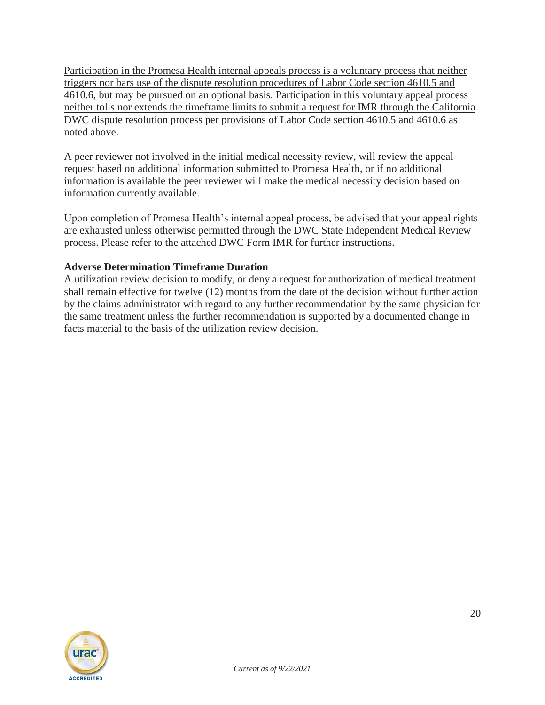Participation in the Promesa Health internal appeals process is a voluntary process that neither triggers nor bars use of the dispute resolution procedures of Labor Code section 4610.5 and 4610.6, but may be pursued on an optional basis. Participation in this voluntary appeal process neither tolls nor extends the timeframe limits to submit a request for IMR through the California DWC dispute resolution process per provisions of Labor Code section 4610.5 and 4610.6 as noted above.

A peer reviewer not involved in the initial medical necessity review, will review the appeal request based on additional information submitted to Promesa Health, or if no additional information is available the peer reviewer will make the medical necessity decision based on information currently available.

Upon completion of Promesa Health's internal appeal process, be advised that your appeal rights are exhausted unless otherwise permitted through the DWC State Independent Medical Review process. Please refer to the attached DWC Form IMR for further instructions.

## <span id="page-19-0"></span>**Adverse Determination Timeframe Duration**

A utilization review decision to modify, or deny a request for authorization of medical treatment shall remain effective for twelve (12) months from the date of the decision without further action by the claims administrator with regard to any further recommendation by the same physician for the same treatment unless the further recommendation is supported by a documented change in facts material to the basis of the utilization review decision.

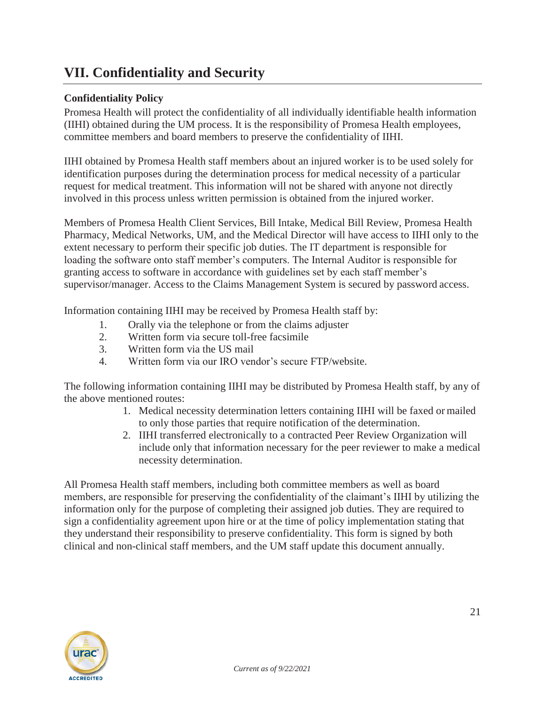## <span id="page-20-0"></span>**VII. Confidentiality and Security**

### **Confidentiality Policy**

Promesa Health will protect the confidentiality of all individually identifiable health information (IIHI) obtained during the UM process. It is the responsibility of Promesa Health employees, committee members and board members to preserve the confidentiality of IIHI.

IIHI obtained by Promesa Health staff members about an injured worker is to be used solely for identification purposes during the determination process for medical necessity of a particular request for medical treatment. This information will not be shared with anyone not directly involved in this process unless written permission is obtained from the injured worker.

Members of Promesa Health Client Services, Bill Intake, Medical Bill Review, Promesa Health Pharmacy, Medical Networks, UM, and the Medical Director will have access to IIHI only to the extent necessary to perform their specific job duties. The IT department is responsible for loading the software onto staff member's computers. The Internal Auditor is responsible for granting access to software in accordance with guidelines set by each staff member's supervisor/manager. Access to the Claims Management System is secured by password access.

Information containing IIHI may be received by Promesa Health staff by:

- 1. Orally via the telephone or from the claims adjuster
- 2. Written form via secure toll-free facsimile
- 3. Written form via the US mail
- 4. Written form via our IRO vendor's secure FTP/website.

The following information containing IIHI may be distributed by Promesa Health staff, by any of the above mentioned routes:

- 1. Medical necessity determination letters containing IIHI will be faxed or mailed to only those parties that require notification of the determination.
- 2. IIHI transferred electronically to a contracted Peer Review Organization will include only that information necessary for the peer reviewer to make a medical necessity determination.

All Promesa Health staff members, including both committee members as well as board members, are responsible for preserving the confidentiality of the claimant's IIHI by utilizing the information only for the purpose of completing their assigned job duties. They are required to sign a confidentiality agreement upon hire or at the time of policy implementation stating that they understand their responsibility to preserve confidentiality. This form is signed by both clinical and non-clinical staff members, and the UM staff update this document annually.



21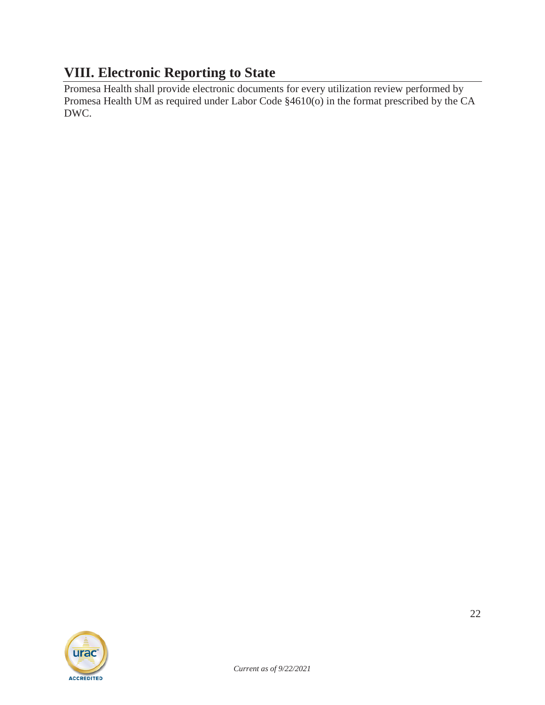## **VIII. Electronic Reporting to State**

Promesa Health shall provide electronic documents for every utilization review performed by Promesa Health UM as required under Labor Code §4610(o) in the format prescribed by the CA DWC.